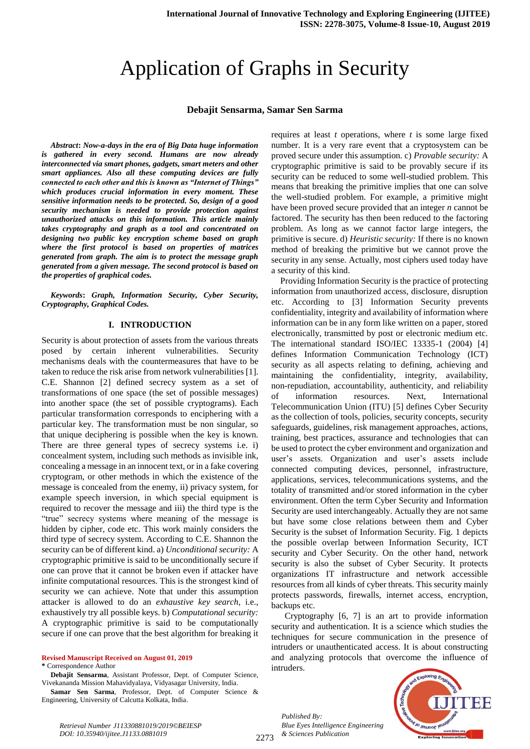# Application of Graphs in Security

#### **Debajit Sensarma, Samar Sen Sarma**

*Abstract***:** *Now-a-days in the era of Big Data huge information is gathered in every second. Humans are now already interconnected via smart phones, gadgets, smart meters and other smart appliances. Also all these computing devices are fully connected to each other and this is known as "Internet of Things" which produces crucial information in every moment. These sensitive information needs to be protected. So, design of a good security mechanism is needed to provide protection against unauthorized attacks on this information. This article mainly takes cryptography and graph as a tool and concentrated on designing two public key encryption scheme based on graph where the first protocol is based on properties of matrices generated from graph. The aim is to protect the message graph generated from a given message. The second protocol is based on the properties of graphical codes.*

*Keywords***:** *Graph, Information Security, Cyber Security, Cryptography, Graphical Codes.* 

#### **I. INTRODUCTION**

Security is about protection of assets from the various threats posed by certain inherent vulnerabilities. Security mechanisms deals with the countermeasures that have to be taken to reduce the risk arise from network vulnerabilities [1]. C.E. Shannon [2] defined secrecy system as a set of transformations of one space (the set of possible messages) into another space (the set of possible cryptograms). Each particular transformation corresponds to enciphering with a particular key. The transformation must be non singular, so that unique deciphering is possible when the key is known. There are three general types of secrecy systems i.e. i) concealment system, including such methods as invisible ink, concealing a message in an innocent text, or in a fake covering cryptogram, or other methods in which the existence of the message is concealed from the enemy, ii) privacy system, for example speech inversion, in which special equipment is required to recover the message and iii) the third type is the "true" secrecy systems where meaning of the message is hidden by cipher, code etc. This work mainly considers the third type of secrecy system. According to C.E. Shannon the security can be of different kind. a) *Unconditional security:* A cryptographic primitive is said to be unconditionally secure if one can prove that it cannot be broken even if attacker have infinite computational resources. This is the strongest kind of security we can achieve. Note that under this assumption attacker is allowed to do an *exhaustive key search*, i.e., exhaustively try all possible keys. b) *Computational security:*  A cryptographic primitive is said to be computationally secure if one can prove that the best algorithm for breaking it

**Revised Manuscript Received on August 01, 2019 \*** Correspondence Author

**Debajit Sensarma**, Assistant Professor, Dept. of Computer Science, Vivekananda Mission Mahavidyalaya, Vidyasagar University, India.

**Samar Sen Sarma**, Professor, Dept. of Computer Science & Engineering, University of Calcutta Kolkata, India.

requires at least *t* operations, where *t* is some large fixed number. It is a very rare event that a cryptosystem can be proved secure under this assumption. c) *Provable security:* A cryptographic primitive is said to be provably secure if its security can be reduced to some well-studied problem. This means that breaking the primitive implies that one can solve the well-studied problem. For example, a primitive might have been proved secure provided that an integer *n* cannot be factored. The security has then been reduced to the factoring problem. As long as we cannot factor large integers, the primitive is secure. d) *Heuristic security:* If there is no known method of breaking the primitive but we cannot prove the security in any sense. Actually, most ciphers used today have a security of this kind.

Providing Information Security is the practice of protecting information from unauthorized access, disclosure, disruption etc. According to [3] Information Security prevents confidentiality, integrity and availability of information where information can be in any form like written on a paper, stored electronically, transmitted by post or electronic medium etc. The international standard ISO/IEC 13335-1 (2004) [4] defines Information Communication Technology (ICT) security as all aspects relating to defining, achieving and maintaining the confidentiality, integrity, availability, non-repudiation, accountability, authenticity, and reliability of information resources. Next, International Telecommunication Union (ITU) [5] defines Cyber Security as the collection of tools, policies, security concepts, security safeguards, guidelines, risk management approaches, actions, training, best practices, assurance and technologies that can be used to protect the cyber environment and organization and user's assets. Organization and user's assets include connected computing devices, personnel, infrastructure, applications, services, telecommunications systems, and the totality of transmitted and/or stored information in the cyber environment. Often the term Cyber Security and Information Security are used interchangeably. Actually they are not same but have some close relations between them and Cyber Security is the subset of Information Security. Fig. 1 depicts the possible overlap between Information Security, ICT security and Cyber Security. On the other hand, network security is also the subset of Cyber Security. It protects organizations IT infrastructure and network accessible resources from all kinds of cyber threats. This security mainly protects passwords, firewalls, internet access, encryption, backups etc.

 Cryptography [6, 7] is an art to provide information security and authentication. It is a science which studies the techniques for secure communication in the presence of intruders or unauthenticated access. It is about constructing and analyzing protocols that overcome the influence of intruders.

*Published By: Blue Eyes Intelligence Engineering & Sciences Publication* 

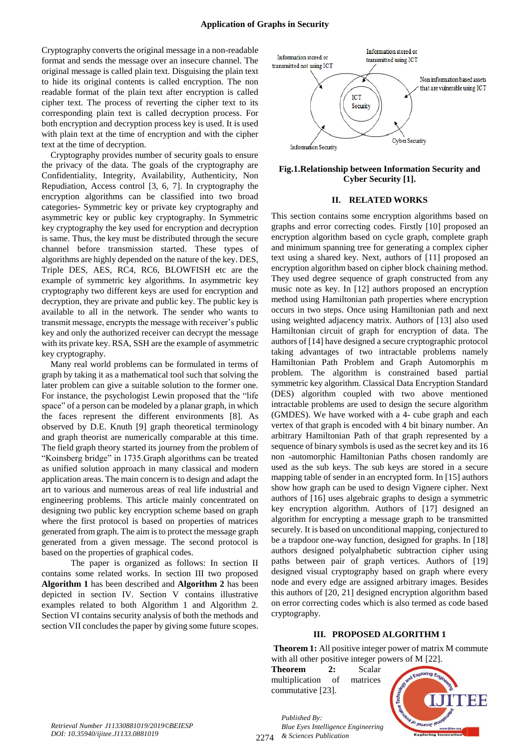Cryptography converts the original message in a non-readable format and sends the message over an insecure channel. The original message is called plain text. Disguising the plain text to hide its original contents is called encryption. The non readable format of the plain text after encryption is called cipher text. The process of reverting the cipher text to its corresponding plain text is called decryption process. For both encryption and decryption process key is used. It is used with plain text at the time of encryption and with the cipher text at the time of decryption.

Cryptography provides number of security goals to ensure the privacy of the data. The goals of the cryptography are Confidentiality, Integrity, Availability, Authenticity, Non Repudiation, Access control [3, 6, 7]. In cryptography the encryption algorithms can be classified into two broad categories- Symmetric key or private key cryptography and asymmetric key or public key cryptography. In Symmetric key cryptography the key used for encryption and decryption is same. Thus, the key must be distributed through the secure channel before transmission started. These types of algorithms are highly depended on the nature of the key. DES, Triple DES, AES, RC4, RC6, BLOWFISH etc are the example of symmetric key algorithms. In asymmetric key cryptography two different keys are used for encryption and decryption, they are private and public key. The public key is available to all in the network. The sender who wants to transmit message, encrypts the message with receiver's public key and only the authorized receiver can decrypt the message with its private key. RSA, SSH are the example of asymmetric key cryptography.

Many real world problems can be formulated in terms of graph by taking it as a mathematical tool such that solving the later problem can give a suitable solution to the former one. For instance, the psychologist Lewin proposed that the "life space" of a person can be modeled by a planar graph, in which the faces represent the different environments [8]. As observed by D.E. Knuth [9] graph theoretical terminology and graph theorist are numerically comparable at this time. The field graph theory started its journey from the problem of "Koinsberg bridge" in 1735.Graph algorithms can be treated as unified solution approach in many classical and modern application areas. The main concern is to design and adapt the art to various and numerous areas of real life industrial and engineering problems. This article mainly concentrated on designing two public key encryption scheme based on graph where the first protocol is based on properties of matrices generated from graph. The aim is to protect the message graph generated from a given message. The second protocol is based on the properties of graphical codes.

 The paper is organized as follows: In section II contains some related works. In section III two proposed **Algorithm 1** has been described and **Algorithm 2** has been depicted in section IV. Section V contains illustrative examples related to both Algorithm 1 and Algorithm 2. Section VI contains security analysis of both the methods and section VII concludes the paper by giving some future scopes.



**Fig.1.Relationship between Information Security and Cyber Security [1].**

#### **II. RELATED WORKS**

This section contains some encryption algorithms based on graphs and error correcting codes. Firstly [10] proposed an encryption algorithm based on cycle graph, complete graph and minimum spanning tree for generating a complex cipher text using a shared key. Next, authors of [11] proposed an encryption algorithm based on cipher block chaining method. They used degree sequence of graph constructed from any music note as key. In [12] authors proposed an encryption method using Hamiltonian path properties where encryption occurs in two steps. Once using Hamiltonian path and next using weighted adjacency matrix. Authors of [13] also used Hamiltonian circuit of graph for encryption of data. The authors of [14] have designed a secure cryptographic protocol taking advantages of two intractable problems namely Hamiltonian Path Problem and Graph Automorphis m problem. The algorithm is constrained based partial symmetric key algorithm. Classical Data Encryption Standard (DES) algorithm coupled with two above mentioned intractable problems are used to design the secure algorithm (GMDES). We have worked with a 4- cube graph and each vertex of that graph is encoded with 4 bit binary number. An arbitrary Hamiltonian Path of that graph represented by a sequence of binary symbols is used as the secret key and its 16 non -automorphic Hamiltonian Paths chosen randomly are used as the sub keys. The sub keys are stored in a secure mapping table of sender in an encrypted form. In [15] authors show how graph can be used to design Vignere cipher. Next authors of [16] uses algebraic graphs to design a symmetric key encryption algorithm. Authors of [17] designed an algorithm for encrypting a message graph to be transmitted securely. It is based on unconditional mapping, conjectured to be a trapdoor one-way function, designed for graphs. In [18] authors designed polyalphabetic subtraction cipher using paths between pair of graph vertices. Authors of [19] designed visual cryptography based on graph where every node and every edge are assigned arbitrary images. Besides this authors of [20, 21] designed encryption algorithm based on error correcting codes which is also termed as code based cryptography.

#### **III. PROPOSED ALGORITHM 1**

**Theorem 1:** All positive integer power of matrix M commute with all other positive integer powers of M [22].

**Theorem 2:** Scalar multiplication of matrices commutative [23].



*Retrieval Number J11330881019/2019©BEIESP DOI: 10.35940/ijitee.J1133.0881019*

2274 *& Sciences Publication Published By: Blue Eyes Intelligence Engineering*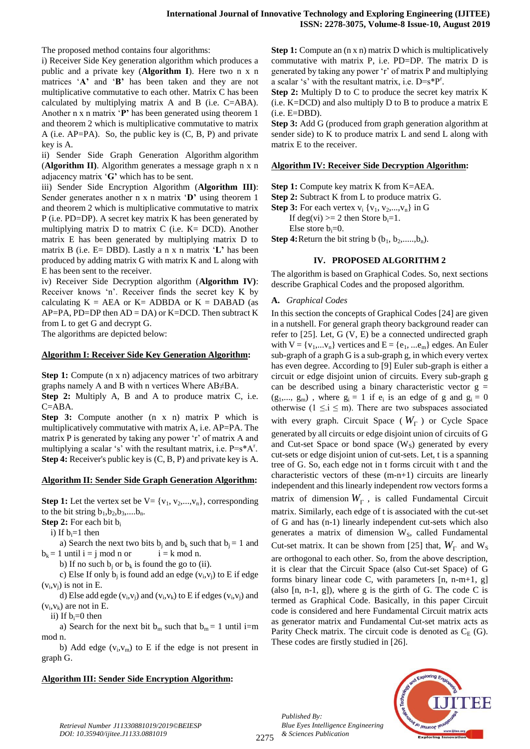The proposed method contains four algorithms:

i) Receiver Side Key generation algorithm which produces a public and a private key (**Algorithm I**). Here two n x n matrices '**A'** and '**B'** has been taken and they are not multiplicative commutative to each other. Matrix C has been calculated by multiplying matrix A and B (i.e. C=ABA). Another n x n matrix '**P'** has been generated using theorem 1 and theorem 2 which is multiplicative commutative to matrix A (i.e. AP=PA). So, the public key is (C, B, P) and private key is A.

ii) Sender Side Graph Generation Algorithm algorithm (**Algorithm II)**. Algorithm generates a message graph n x n adjacency matrix '**G'** which has to be sent.

iii) Sender Side Encryption Algorithm (**Algorithm III)**: Sender generates another n x n matrix '**D'** using theorem 1 and theorem 2 which is multiplicative commutative to matrix P (i.e. PD=DP). A secret key matrix K has been generated by multiplying matrix  $D$  to matrix  $C$  (i.e.  $K = DCD$ ). Another matrix E has been generated by multiplying matrix D to matrix B (i.e. E= DBD). Lastly a n x n matrix '**L'** has been produced by adding matrix G with matrix K and L along with E has been sent to the receiver.

iv) Receiver Side Decryption algorithm (**Algorithm IV)**: Receiver knows 'n'. Receiver finds the secret key K by calculating  $K = AEA$  or  $K = ADBDA$  or  $K = DABAD$  (as  $AP=PA$ ,  $PD=DP$  then  $AD = DA$ ) or  $K=DCD$ . Then subtract K from L to get G and decrypt G.

The algorithms are depicted below:

#### **Algorithm I: Receiver Side Key Generation Algorithm:**

**Step 1:** Compute (n x n) adjacency matrices of two arbitrary graphs namely A and B with n vertices Where AB≠BA.

**Step 2:** Multiply A, B and A to produce matrix C, i.e. C=ABA.

**Step 3:** Compute another (n x n) matrix P which is multiplicatively commutative with matrix A, i.e. AP=PA. The matrix P is generated by taking any power 'r' of matrix A and multiplying a scalar 's' with the resultant matrix, i.e.  $P = s^*A^r$ . **Step 4:** Receiver's public key is (C, B, P) and private key is A.

#### **Algorithm II: Sender Side Graph Generation Algorithm:**

**Step 1:** Let the vertex set be  $V = \{v_1, v_2, ..., v_n\}$ , corresponding to the bit string  $b_1, b_2, b_3, \ldots, b_n$ .

**Step 2:** For each bit b<sub>i</sub>

i) If  $b_i=1$  then

a) Search the next two bits  $b_j$  and  $b_k$  such that  $b_j = 1$  and  $b_k = 1$  until  $i = j \mod n$  or  $i = k \mod n$ .

b) If no such  $b_i$  or  $b_k$  is found the go to (ii).

c) Else If only  $b_j$  is found add an edge  $(v_i, v_j)$  to E if edge  $(v_i, v_j)$  is not in E.

d) Else add egde  $(v_i, v_j)$  and  $(v_i, v_k)$  to E if edges  $(v_i, v_j)$  and  $(v_i, v_k)$  are not in E.

ii) If  $b_i=0$  then

a) Search for the next bit  $b_m$  such that  $b_m = 1$  until i=m mod n.

b) Add edge  $(v_i, v_m)$  to E if the edge is not present in graph G.

## **Algorithm III: Sender Side Encryption Algorithm:**

**Step 1:** Compute an (n x n) matrix D which is multiplicatively commutative with matrix P, i.e. PD=DP. The matrix D is generated by taking any power 'r' of matrix P and multiplying a scalar 's' with the resultant matrix, i.e.  $D=s^*P^r$ .

**Step 2:** Multiply D to C to produce the secret key matrix K (i.e. K=DCD) and also multiply D to B to produce a matrix E (i.e. E=DBD).

**Step 3:** Add G (produced from graph generation algorithm at sender side) to K to produce matrix L and send L along with matrix E to the receiver.

#### **Algorithm IV: Receiver Side Decryption Algorithm:**

**Step 1:** Compute key matrix K from K=AEA.

**Step 2:** Subtract K from L to produce matrix G.

**Step 3:** For each vertex  $v_i$  { $v_1$ ,  $v_2$ ,..., $v_n$ } in G

If deg(vi)  $>= 2$  then Store  $b_i=1$ .

Else store  $b_i=0$ .

**Step 4:** Return the bit string b  $(b_1, b_2, \ldots, b_n)$ .

## **IV. PROPOSED ALGORITHM 2**

The algorithm is based on Graphical Codes. So, next sections describe Graphical Codes and the proposed algorithm.

## **A.** *Graphical Codes*

In this section the concepts of Graphical Codes [24] are given in a nutshell. For general graph theory background reader can refer to [25]. Let, G (V, E) be a connected undirected graph with  $V = \{v_1,...v_n\}$  vertices and  $E = \{e_1,...e_m\}$  edges. An Euler sub-graph of a graph G is a sub-graph g, in which every vertex has even degree. According to [9] Euler sub-graph is either a circuit or edge disjoint union of circuits. Every sub-graph g can be described using a binary characteristic vector  $g =$  $(g_1,..., g_m)$ , where  $g_i = 1$  if  $e_i$  is an edge of g and  $g_i = 0$ otherwise ( $1 \le i \le m$ ). There are two subspaces associated with every graph. Circuit Space ( *W* ) or Cycle Space generated by all circuits or edge disjoint union of circuits of G and Cut-set Space or bond space  $(W<sub>s</sub>)$  generated by every cut-sets or edge disjoint union of cut-sets. Let, t is a spanning tree of G. So, each edge not in t forms circuit with t and the characteristic vectors of these (m-n+1) circuits are linearly independent and this linearly independent row vectors forms a matrix of dimension  $W_{\Gamma}$ , is called Fundamental Circuit matrix. Similarly, each edge of t is associated with the cut-set of G and has (n-1) linearly independent cut-sets which also generates a matrix of dimension W<sub>S</sub>, called Fundamental Cut-set matrix. It can be shown from [25] that,  $W_{\Gamma}$  and  $W_{S}$ are orthogonal to each other. So, from the above description, it is clear that the Circuit Space (also Cut-set Space) of G forms binary linear code C, with parameters  $[n, n-m+1, g]$ (also [n, n-1, g]), where g is the girth of G. The code C is termed as Graphical Code. Basically, in this paper Circuit code is considered and here Fundamental Circuit matrix acts as generator matrix and Fundamental Cut-set matrix acts as Parity Check matrix. The circuit code is denoted as  $C_E$  (G). These codes are firstly studied in [26].

*Published By: Blue Eyes Intelligence Engineering & Sciences Publication* 

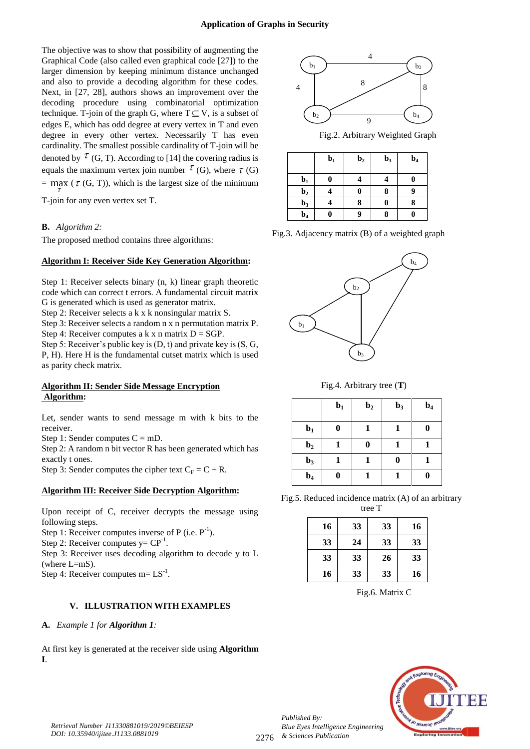The objective was to show that possibility of augmenting the Graphical Code (also called even graphical code [27]) to the larger dimension by keeping minimum distance unchanged and also to provide a decoding algorithm for these codes. Next, in [27, 28], authors shows an improvement over the decoding procedure using combinatorial optimization technique. T-join of the graph G, where  $T \subseteq V$ , is a subset of edges E, which has odd degree at every vertex in T and even degree in every other vertex. Necessarily T has even cardinality. The smallest possible cardinality of T-join will be denoted by  $\tau$  (G, T). According to [14] the covering radius is equals the maximum vertex join number  $\tau$  (G), where  $\tau$  (G)  $=$  max ( $\tau$  (G, T)), which is the largest size of the minimum *T*

T-join for any even vertex set T.

## **B.** *Algorithm 2:*

The proposed method contains three algorithms:

## **Algorithm I: Receiver Side Key Generation Algorithm:**

Step 1: Receiver selects binary (n, k) linear graph theoretic code which can correct t errors. A fundamental circuit matrix G is generated which is used as generator matrix.

Step 2: Receiver selects a k x k nonsingular matrix S.

Step 3: Receiver selects a random n x n permutation matrix P. Step 4: Receiver computes a k x n matrix  $D = SGP$ .

Step 5: Receiver's public key is (D, t) and private key is (S, G, P, H). Here H is the fundamental cutset matrix which is used as parity check matrix.

## **Algorithm II: Sender Side Message Encryption Algorithm:**

Let, sender wants to send message m with k bits to the receiver.

Step 1: Sender computes  $C = mD$ .

Step 2: A random n bit vector R has been generated which has exactly t ones.

Step 3: Sender computes the cipher text  $C_F = C + R$ .

## **Algorithm III: Receiver Side Decryption Algorithm:**

Upon receipt of C, receiver decrypts the message using following steps.

Step 1: Receiver computes inverse of P (i.e.  $P^{-1}$ ).

Step 2: Receiver computes  $y = CP^{-1}$ .

Step 3: Receiver uses decoding algorithm to decode y to L (where L=mS).

Step 4: Receiver computes  $m = LS^{-1}$ .

## **V. ILLUSTRATION WITH EXAMPLES**

## **A.** *Example 1 for Algorithm 1:*

At first key is generated at the receiver side using **Algorithm I**.



Fig.2. Arbitrary Weighted Graph

|                | $b1$ | $\mathbf{b}_2$ | $b3$     | $\mathbf{b}_4$ |
|----------------|------|----------------|----------|----------------|
| $b_1$          | 0    |                |          |                |
| $\mathbf{b}_2$ |      | $\bf{0}$       | 8        | 9              |
| $b3$           |      | 8              | $\bf{0}$ |                |
| $\mathbf{b}_4$ |      | g              | 8        |                |

Fig.3. Adjacency matrix (B) of a weighted graph



Fig.4. Arbitrary tree (**T**)

|                | $b1$ | $\mathbf{b}_2$ | $\mathbf{b}_3$ | $\mathbf{b}_4$ |
|----------------|------|----------------|----------------|----------------|
| $\mathbf{b}_1$ | 0    | 1              | 1              | 0              |
| $\mathbf{b}_2$ | 1    | 0              | 1              | 1              |
| $\mathbf{b}_3$ |      |                | 0              |                |
| $\mathbf{b}_4$ | 0    | 1              | 1              |                |

Fig.5. Reduced incidence matrix (A) of an arbitrary tree T

| 16 | 33 | 33 | 16 |
|----|----|----|----|
| 33 | 24 | 33 | 33 |
| 33 | 33 | 26 | 33 |
| 16 | 33 | 33 | 16 |

Fig.6. Matrix C



*Published By:*

*& Sciences Publication*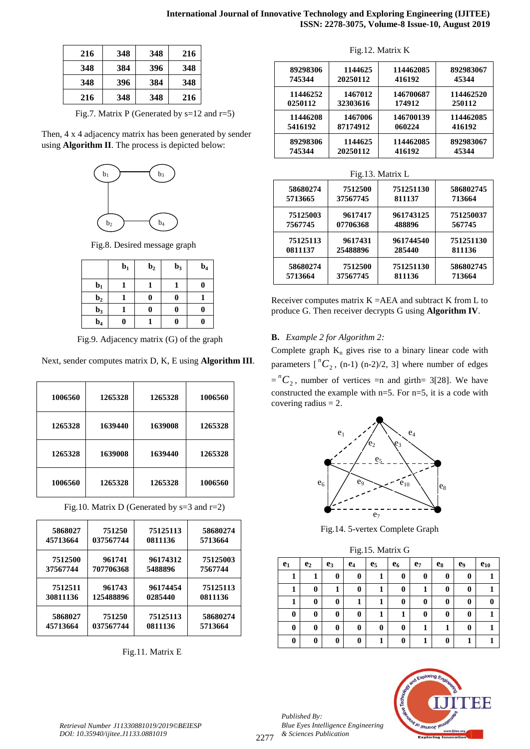| 216 | 348 | 348 | 216 |
|-----|-----|-----|-----|
| 348 | 384 | 396 | 348 |
| 348 | 396 | 384 | 348 |
| 216 | 348 | 348 | 216 |

Fig.7. Matrix P (Generated by  $s=12$  and  $r=5$ )

Then, 4 x 4 adjacency matrix has been generated by sender using **Algorithm II**. The process is depicted below:



Fig.8. Desired message graph

|                | $b1$ | $\mathbf{b}_2$ | $b3$ | $\mathbf{b}_4$ |
|----------------|------|----------------|------|----------------|
| $\mathbf{b}_1$ |      |                |      | 0              |
| $\mathbf{b}_2$ |      | 0              |      |                |
| $\mathbf{b}_3$ |      | 0              |      | 0              |
| $\mathbf{b}_4$ | 0    |                |      | 0              |

Fig.9. Adjacency matrix (G) of the graph

Next, sender computes matrix D, K, E using **Algorithm III**.

| 1006560 | 1265328 | 1265328 | 1006560 |
|---------|---------|---------|---------|
| 1265328 | 1639440 | 1639008 | 1265328 |
| 1265328 | 1639008 | 1639440 | 1265328 |
| 1006560 | 1265328 | 1265328 | 1006560 |

| 5868027  | 751250    | 75125113 | 58680274 |
|----------|-----------|----------|----------|
| 45713664 | 037567744 | 0811136  | 5713664  |
| 7512500  | 961741    | 96174312 | 75125003 |
| 37567744 | 707706368 | 5488896  | 7567744  |
| 7512511  | 961743    | 96174454 | 75125113 |
| 30811136 | 125488896 | 0285440  | 0811136  |
| 5868027  | 751250    | 75125113 | 58680274 |
| 45713664 | 037567744 | 0811136  | 5713664  |

Fig.10. Matrix D (Generated by s=3 and r=2)

Fig.11. Matrix E

Fig.12. Matrix K

| 89298306 | 1144625  | 114462085 | 892983067 |
|----------|----------|-----------|-----------|
| 745344   | 20250112 | 416192    | 45344     |
| 11446252 | 1467012  | 146700687 | 114462520 |
| 0250112  | 32303616 | 174912    | 250112    |
| 11446208 | 1467006  | 146700139 | 114462085 |
| 5416192  | 87174912 | 060224    | 416192    |
| 89298306 | 1144625  | 114462085 | 892983067 |
| 745344   | 20250112 | 416192    | 45344     |

| Fig.13. Matrix L |          |           |           |  |  |  |  |
|------------------|----------|-----------|-----------|--|--|--|--|
| 58680274         | 7512500  | 751251130 | 586802745 |  |  |  |  |
| 5713665          | 37567745 | 811137    | 713664    |  |  |  |  |
| 75125003         | 9617417  | 961743125 | 751250037 |  |  |  |  |
| 7567745          | 07706368 | 488896    | 567745    |  |  |  |  |
| 75125113         | 9617431  | 961744540 | 751251130 |  |  |  |  |
| 0811137          | 25488896 | 285440    | 811136    |  |  |  |  |
| 58680274         | 7512500  | 751251130 | 586802745 |  |  |  |  |
| 5713664          | 37567745 | 811136    | 713664    |  |  |  |  |

Receiver computes matrix  $K = AEA$  and subtract K from L to produce G. Then receiver decrypts G using **Algorithm IV**.

## **B.** *Example 2 for Algorithm 2:*

Complete graph  $K_n$  gives rise to a binary linear code with parameters  $\int_{0}^{n} C_2$ , (n-1) (n-2)/2, 3] where number of edges  $= {}^{n}C_2$ , number of vertices =n and girth= 3[28]. We have constructed the example with n=5. For n=5, it is a code with covering radius  $= 2$ .



Fig.14. 5-vertex Complete Graph

| Fig.15. Matrix G |  |  |
|------------------|--|--|
|------------------|--|--|

|       |                |          | ັ     |                |          |                |                |                |          |
|-------|----------------|----------|-------|----------------|----------|----------------|----------------|----------------|----------|
| $e_1$ | e <sub>2</sub> | $e_3$    | $e_4$ | $\mathbf{e}_5$ | $e_6$    | e <sub>7</sub> | $\mathbf{e}_8$ | e <sub>9</sub> | $e_{10}$ |
|       |                | $\bf{0}$ | 0     |                | $\bf{0}$ | 0              | 0              | $\bf{0}$       |          |
| 1     | 0              |          | 0     |                | 0        |                | 0              | 0              |          |
| 1     | 0              | $\bf{0}$ |       |                | 0        | 0              | 0              | 0              | 0        |
| 0     | 0              | 0        | 0     |                | 1        | 0              | $\bf{0}$       | $\bf{0}$       |          |
| 0     | 0              | 0        | 0     | 0              | $\bf{0}$ |                |                | $\bf{0}$       |          |
| 0     | 0              | $\bf{0}$ | 0     |                | 0        |                | 0              |                |          |



*Published By: Blue Eyes Intelligence Engineering & Sciences Publication*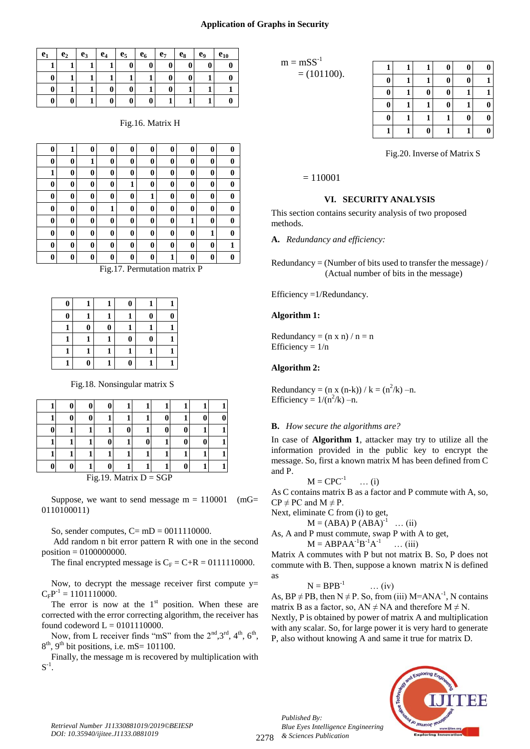#### **Application of Graphs in Security**

| $e_1$ | e <sub>2</sub> | e <sub>3</sub> | $e_4$ | e <sub>5</sub> | e <sub>6</sub> | $e_7$    | $e_8$ | eq       | $e_{10}$ |
|-------|----------------|----------------|-------|----------------|----------------|----------|-------|----------|----------|
|       |                |                |       | 0              | 0              | $\bf{0}$ | 0     | $\bf{0}$ |          |
| O     |                |                |       |                |                | $\bf{0}$ |       |          |          |
| O     |                |                |       |                |                | 0        |       |          |          |
| 0     | 0              |                | 0     | 0              | v              |          |       |          |          |

Fig.16. Matrix H

| $\bf{0}$ | 1        | 0        | 0                        | 0                                | 0              | 0            | 0         | 0        | 0        |
|----------|----------|----------|--------------------------|----------------------------------|----------------|--------------|-----------|----------|----------|
| $\bf{0}$ | 0        | 1        | $\bf{0}$                 | $\bf{0}$                         | 0              | 0            | $\bf{0}$  | $\bf{0}$ | 0        |
| 1        | 0        | 0        | $\bf{0}$                 | $\bf{0}$                         | 0              | 0            | $\bf{0}$  | $\bf{0}$ | 0        |
| $\bf{0}$ | 0        | 0        | $\bf{0}$                 | 1                                | $\bf{0}$       | $\bf{0}$     | $\bf{0}$  | $\bf{0}$ | 0        |
| $\bf{0}$ | $\bf{0}$ | $\bf{0}$ | $\bf{0}$                 | $\bf{0}$                         | 1              | $\bf{0}$     | $\bf{0}$  | $\bf{0}$ | $\bf{0}$ |
| $\bf{0}$ | 0        | 0        | 1                        | $\bf{0}$                         | 0              | 0            | $\bf{0}$  | $\bf{0}$ | 0        |
| $\bf{0}$ | 0        | 0        | $\bf{0}$                 | $\bf{0}$                         | 0              | 0            | 1         | $\bf{0}$ | 0        |
| $\bf{0}$ | 0        | 0        | $\bf{0}$                 | $\bf{0}$                         | 0              | 0            | $\bf{0}$  | 1        | 0        |
| $\bf{0}$ | 0        | 0        | $\bf{0}$                 | $\bf{0}$                         | $\bf{0}$       | $\bf{0}$     | $\bf{0}$  | $\bf{0}$ | 1        |
| $\bf{0}$ | $\bf{0}$ | $\bf{0}$ | $\bf{0}$                 | $\bf{0}$                         | $\bf{0}$       | $\mathbf{1}$ | $\bf{0}$  | $\bf{0}$ | 0        |
|          |          |          | $\overline{\phantom{a}}$ | $\overline{ }$<br>$\blacksquare$ | <b>Service</b> |              | $\bullet$ | $\sim$   |          |

Fig.17. Permutation matrix P

| 0 |   |   | 0        |          |   |
|---|---|---|----------|----------|---|
| 0 |   |   |          | 0        | 0 |
|   | 0 | 0 |          |          |   |
|   |   |   | $\bf{0}$ | $\bf{0}$ |   |
|   |   |   |          |          |   |
|   | O |   | U        |          |   |

Fig.18. Nonsingular matrix S

| $Fig 19$ Matrix $D = SGP$ |  |  |  |  |  |  |  |  |  |
|---------------------------|--|--|--|--|--|--|--|--|--|

Fig.19. Matrix  $D = SGI$ 

Suppose, we want to send message  $m = 110001$  (mG= 0110100011)

So, sender computes,  $C=$  mD = 0011110000.

Add random n bit error pattern R with one in the second position = 0100000000.

The final encrypted message is  $C_F = C + R = 0111110000$ .

Now, to decrypt the message receiver first compute  $y=$  $C_F P^{-1} = 1101110000.$ 

The error is now at the  $1<sup>st</sup>$  position. When these are corrected with the error correcting algorithm, the receiver has found codeword  $L = 0101110000$ .

Now, from L receiver finds "mS" from the  $2<sup>nd</sup>, 3<sup>rd</sup>, 4<sup>th</sup>, 6<sup>th</sup>$ ,  $8<sup>th</sup>$ , 9<sup>th</sup> bit positions, i.e. mS= 101100.

Finally, the message m is recovered by multiplication with  $\text{S}^{\text{-}1}.$ 

 $m = **mSS**<sup>-1</sup>$  $= (101100).$ 

|          |          | 0                | 0 |  |
|----------|----------|------------------|---|--|
|          |          |                  |   |  |
|          |          | O                |   |  |
| $\bf{0}$ |          | $\boldsymbol{0}$ |   |  |
| 0        |          |                  | 0 |  |
|          | $\bf{0}$ |                  |   |  |

Fig.20. Inverse of Matrix S

 $= 110001$ 

## **VI. SECURITY ANALYSIS**

This section contains security analysis of two proposed methods.

**A.** *Redundancy and efficiency:*

Redundancy = (Number of bits used to transfer the message) / (Actual number of bits in the message)

Efficiency =1/Redundancy.

#### **Algorithm 1:**

Redundancy =  $(n \times n) / n = n$ Efficiency =  $1/n$ 

## **Algorithm 2:**

Redundancy =  $(n x (n-k)) / k = (n^2/k) - n$ . Efficiency =  $1/(n^2/k)$  –n.

#### **B.** *How secure the algorithms are?*

In case of **Algorithm 1**, attacker may try to utilize all the information provided in the public key to encrypt the message. So, first a known matrix M has been defined from C and P.

$$
M = \text{CPC}^{-1} \qquad \dots (i)
$$

As C contains matrix B as a factor and P commute with A, so,  $CP \neq PC$  and  $M \neq P$ .

Next, eliminate C from (i) to get,

 $M = (ABA) P (ABA)^{-1} ... (ii)$ 

As, A and P must commute, swap P with A to get,  $M = ABPAA^{-1}B^{-1}A^{-1}$  $\ldots$  (iii)

Matrix A commutes with P but not matrix B. So, P does not commute with B. Then, suppose a known matrix N is defined as

$$
N = BPB^{-1} \qquad \dots (iv)
$$

As,  $BP \neq PB$ , then  $N \neq P$ . So, from (iii) M=ANA<sup>-1</sup>, N contains matrix B as a factor, so,  $AN \neq NA$  and therefore  $M \neq N$ . Nextly, P is obtained by power of matrix A and multiplication with any scalar. So, for large power it is very hard to generate P, also without knowing A and same it true for matrix D.



*Published By:*